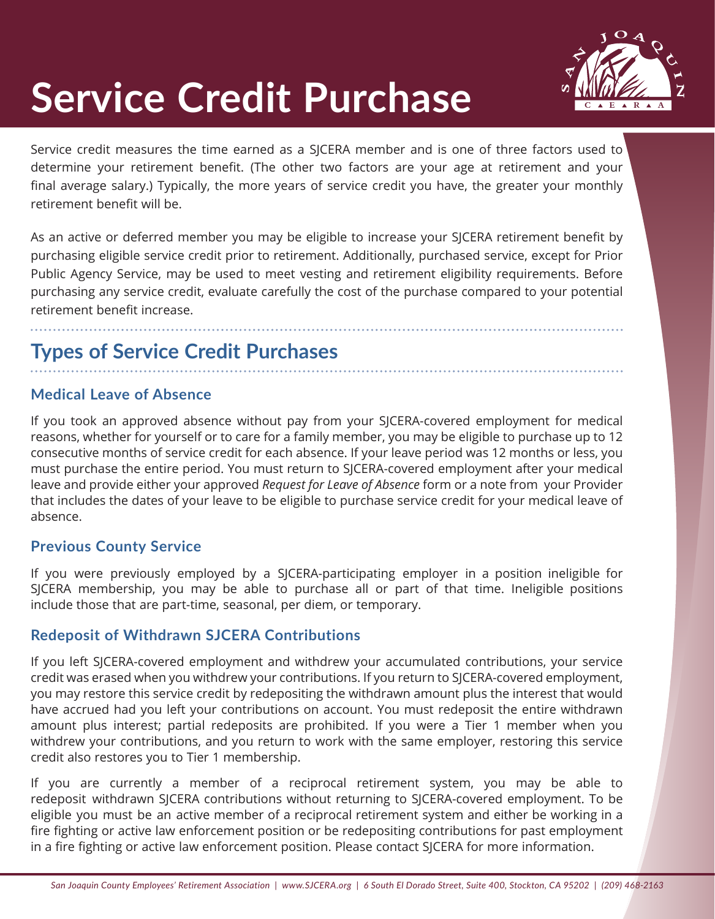

# **Service Credit Purchase**

Service credit measures the time earned as a SJCERA member and is one of three factors used to determine your retirement benefit. (The other two factors are your age at retirement and your final average salary.) Typically, the more years of service credit you have, the greater your monthly retirement benefit will be.

As an active or deferred member you may be eligible to increase your SJCERA retirement benefit by purchasing eligible service credit prior to retirement. Additionally, purchased service, except for Prior Public Agency Service, may be used to meet vesting and retirement eligibility requirements. Before purchasing any service credit, evaluate carefully the cost of the purchase compared to your potential retirement benefit increase.

# **Types of Service Credit Purchases**

#### **Medical Leave of Absence**

If you took an approved absence without pay from your SJCERA-covered employment for medical reasons, whether for yourself or to care for a family member, you may be eligible to purchase up to 12 consecutive months of service credit for each absence. If your leave period was 12 months or less, you must purchase the entire period. You must return to SJCERA-covered employment after your medical leave and provide either your approved *Request for Leave of Absence* form or a note from your Provider that includes the dates of your leave to be eligible to purchase service credit for your medical leave of absence.

#### **Previous County Service**

If you were previously employed by a SJCERA-participating employer in a position ineligible for SJCERA membership, you may be able to purchase all or part of that time. Ineligible positions include those that are part-time, seasonal, per diem, or temporary.

#### **Redeposit of Withdrawn SJCERA Contributions**

If you left SJCERA-covered employment and withdrew your accumulated contributions, your service credit was erased when you withdrew your contributions. If you return to SJCERA-covered employment, you may restore this service credit by redepositing the withdrawn amount plus the interest that would have accrued had you left your contributions on account. You must redeposit the entire withdrawn amount plus interest; partial redeposits are prohibited. If you were a Tier 1 member when you withdrew your contributions, and you return to work with the same employer, restoring this service credit also restores you to Tier 1 membership.

If you are currently a member of a reciprocal retirement system, you may be able to redeposit withdrawn SJCERA contributions without returning to SJCERA-covered employment. To be eligible you must be an active member of a reciprocal retirement system and either be working in a fire fighting or active law enforcement position or be redepositing contributions for past employment in a fire fighting or active law enforcement position. Please contact SJCERA for more information.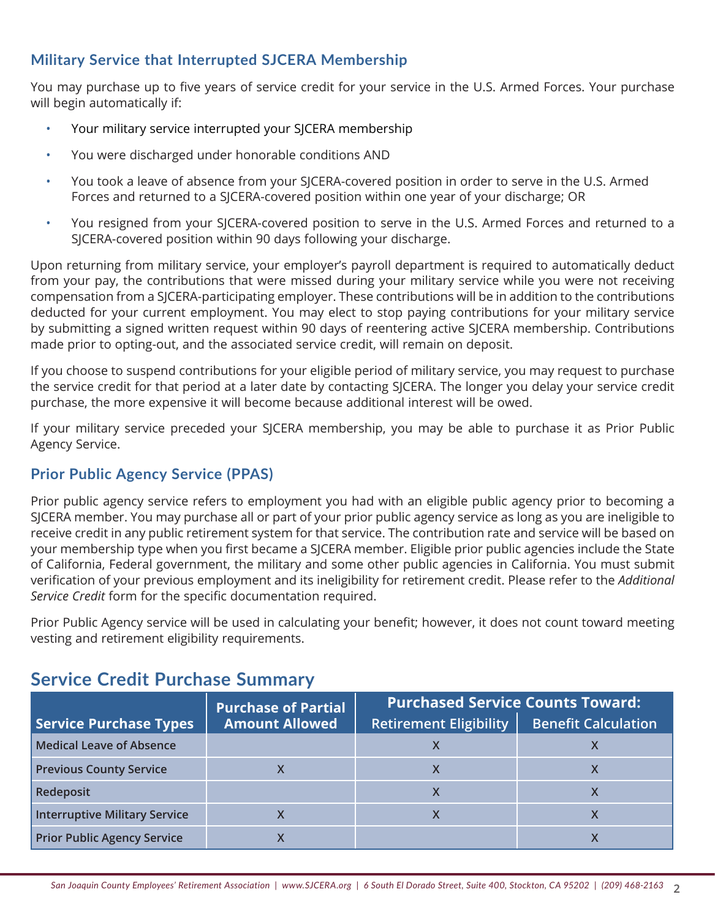#### **Military Service that Interrupted SJCERA Membership**

You may purchase up to five years of service credit for your service in the U.S. Armed Forces. Your purchase will begin automatically if:

- Your military service interrupted your SJCERA membership
- You were discharged under honorable conditions AND
- You took a leave of absence from your SJCERA-covered position in order to serve in the U.S. Armed Forces and returned to a SJCERA-covered position within one year of your discharge; OR
- You resigned from your SJCERA-covered position to serve in the U.S. Armed Forces and returned to a SJCERA-covered position within 90 days following your discharge.

Upon returning from military service, your employer's payroll department is required to automatically deduct from your pay, the contributions that were missed during your military service while you were not receiving compensation from a SJCERA-participating employer. These contributions will be in addition to the contributions deducted for your current employment. You may elect to stop paying contributions for your military service by submitting a signed written request within 90 days of reentering active SJCERA membership. Contributions made prior to opting-out, and the associated service credit, will remain on deposit.

If you choose to suspend contributions for your eligible period of military service, you may request to purchase the service credit for that period at a later date by contacting SJCERA. The longer you delay your service credit purchase, the more expensive it will become because additional interest will be owed.

If your military service preceded your SJCERA membership, you may be able to purchase it as Prior Public Agency Service.

#### **Prior Public Agency Service (PPAS)**

Prior public agency service refers to employment you had with an eligible public agency prior to becoming a SJCERA member. You may purchase all or part of your prior public agency service as long as you are ineligible to receive credit in any public retirement system for that service. The contribution rate and service will be based on your membership type when you first became a SJCERA member. Eligible prior public agencies include the State of California, Federal government, the military and some other public agencies in California. You must submit verification of your previous employment and its ineligibility for retirement credit. Please refer to the *Additional Service Credit* form for the specific documentation required.

Prior Public Agency service will be used in calculating your benefit; however, it does not count toward meeting vesting and retirement eligibility requirements.

|                                      | <b>Purchase of Partial</b> | <b>Purchased Service Counts Toward:</b> |                            |
|--------------------------------------|----------------------------|-----------------------------------------|----------------------------|
| <b>Service Purchase Types</b>        | <b>Amount Allowed</b>      | <b>Retirement Eligibility</b>           | <b>Benefit Calculation</b> |
| <b>Medical Leave of Absence</b>      |                            |                                         |                            |
| <b>Previous County Service</b>       |                            |                                         |                            |
| Redeposit                            |                            |                                         |                            |
| <b>Interruptive Military Service</b> |                            |                                         |                            |
| <b>Prior Public Agency Service</b>   |                            |                                         |                            |

### **Service Credit Purchase Summary**